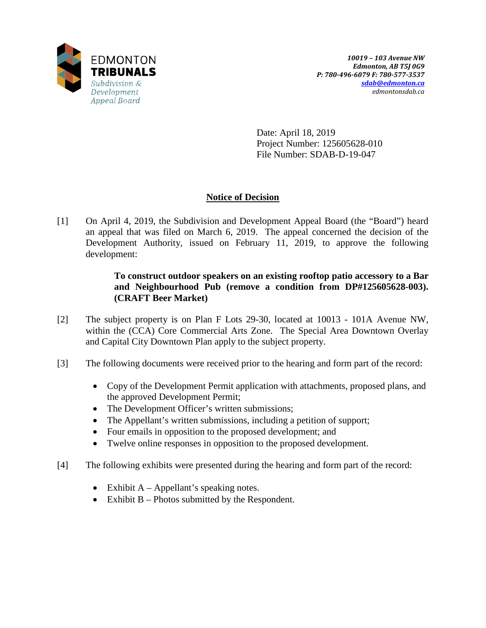

Date: April 18, 2019 Project Number: 125605628-010 File Number: SDAB-D-19-047

# **Notice of Decision**

[1] On April 4, 2019, the Subdivision and Development Appeal Board (the "Board") heard an appeal that was filed on March 6, 2019. The appeal concerned the decision of the Development Authority, issued on February 11, 2019, to approve the following development:

# **To construct outdoor speakers on an existing rooftop patio accessory to a Bar and Neighbourhood Pub (remove a condition from DP#125605628-003). (CRAFT Beer Market)**

- [2] The subject property is on Plan F Lots 29-30, located at 10013 101A Avenue NW, within the (CCA) Core Commercial Arts Zone. The Special Area Downtown Overlay and Capital City Downtown Plan apply to the subject property.
- [3] The following documents were received prior to the hearing and form part of the record:
	- Copy of the Development Permit application with attachments, proposed plans, and the approved Development Permit;
	- The Development Officer's written submissions;
	- The Appellant's written submissions, including a petition of support;
	- Four emails in opposition to the proposed development; and
	- Twelve online responses in opposition to the proposed development.
- [4] The following exhibits were presented during the hearing and form part of the record:
	- Exhibit  $A Appellant's speaking notes.$
	- Exhibit B Photos submitted by the Respondent.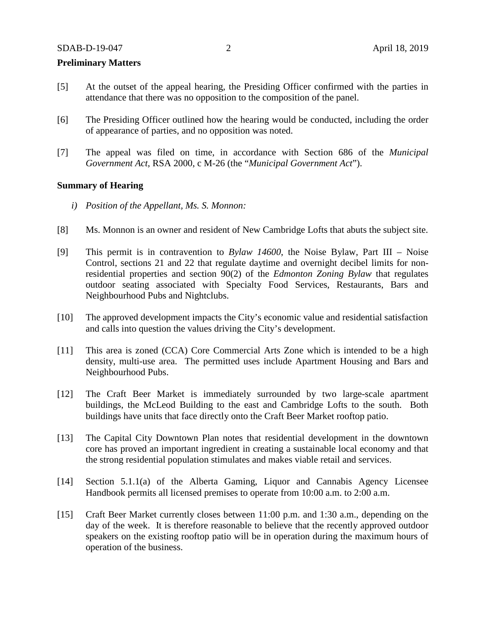#### **Preliminary Matters**

- [5] At the outset of the appeal hearing, the Presiding Officer confirmed with the parties in attendance that there was no opposition to the composition of the panel.
- [6] The Presiding Officer outlined how the hearing would be conducted, including the order of appearance of parties, and no opposition was noted.
- [7] The appeal was filed on time, in accordance with Section 686 of the *Municipal Government Act*, RSA 2000, c M-26 (the "*Municipal Government Act*").

## **Summary of Hearing**

- *i) Position of the Appellant, Ms. S. Monnon:*
- [8] Ms. Monnon is an owner and resident of New Cambridge Lofts that abuts the subject site.
- [9] This permit is in contravention to *Bylaw 14600*, the Noise Bylaw, Part III Noise Control, sections 21 and 22 that regulate daytime and overnight decibel limits for nonresidential properties and section 90(2) of the *Edmonton Zoning Bylaw* that regulates outdoor seating associated with Specialty Food Services, Restaurants, Bars and Neighbourhood Pubs and Nightclubs.
- [10] The approved development impacts the City's economic value and residential satisfaction and calls into question the values driving the City's development.
- [11] This area is zoned (CCA) Core Commercial Arts Zone which is intended to be a high density, multi-use area. The permitted uses include Apartment Housing and Bars and Neighbourhood Pubs.
- [12] The Craft Beer Market is immediately surrounded by two large-scale apartment buildings, the McLeod Building to the east and Cambridge Lofts to the south. Both buildings have units that face directly onto the Craft Beer Market rooftop patio.
- [13] The Capital City Downtown Plan notes that residential development in the downtown core has proved an important ingredient in creating a sustainable local economy and that the strong residential population stimulates and makes viable retail and services.
- [14] Section 5.1.1(a) of the Alberta Gaming, Liquor and Cannabis Agency Licensee Handbook permits all licensed premises to operate from 10:00 a.m. to 2:00 a.m.
- [15] Craft Beer Market currently closes between 11:00 p.m. and 1:30 a.m., depending on the day of the week. It is therefore reasonable to believe that the recently approved outdoor speakers on the existing rooftop patio will be in operation during the maximum hours of operation of the business.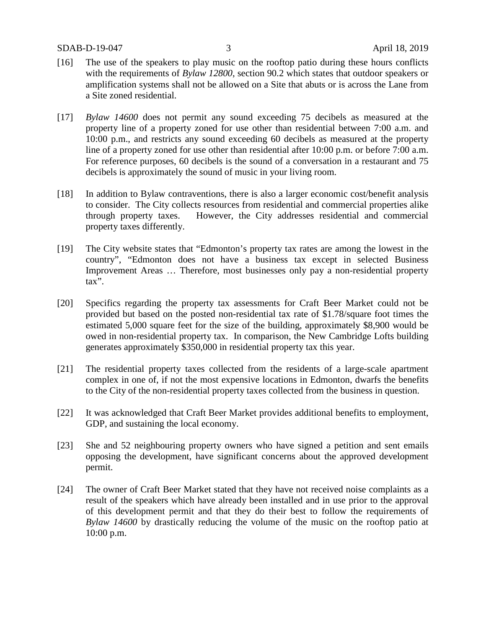- [16] The use of the speakers to play music on the rooftop patio during these hours conflicts with the requirements of *Bylaw 12800*, section 90.2 which states that outdoor speakers or amplification systems shall not be allowed on a Site that abuts or is across the Lane from a Site zoned residential.
- [17] *Bylaw 14600* does not permit any sound exceeding 75 decibels as measured at the property line of a property zoned for use other than residential between 7:00 a.m. and 10:00 p.m., and restricts any sound exceeding 60 decibels as measured at the property line of a property zoned for use other than residential after 10:00 p.m. or before 7:00 a.m. For reference purposes, 60 decibels is the sound of a conversation in a restaurant and 75 decibels is approximately the sound of music in your living room.
- [18] In addition to Bylaw contraventions, there is also a larger economic cost/benefit analysis to consider. The City collects resources from residential and commercial properties alike through property taxes. However, the City addresses residential and commercial property taxes differently.
- [19] The City website states that "Edmonton's property tax rates are among the lowest in the country", "Edmonton does not have a business tax except in selected Business Improvement Areas … Therefore, most businesses only pay a non-residential property tax".
- [20] Specifics regarding the property tax assessments for Craft Beer Market could not be provided but based on the posted non-residential tax rate of \$1.78/square foot times the estimated 5,000 square feet for the size of the building, approximately \$8,900 would be owed in non-residential property tax. In comparison, the New Cambridge Lofts building generates approximately \$350,000 in residential property tax this year.
- [21] The residential property taxes collected from the residents of a large-scale apartment complex in one of, if not the most expensive locations in Edmonton, dwarfs the benefits to the City of the non-residential property taxes collected from the business in question.
- [22] It was acknowledged that Craft Beer Market provides additional benefits to employment, GDP, and sustaining the local economy.
- [23] She and 52 neighbouring property owners who have signed a petition and sent emails opposing the development, have significant concerns about the approved development permit.
- [24] The owner of Craft Beer Market stated that they have not received noise complaints as a result of the speakers which have already been installed and in use prior to the approval of this development permit and that they do their best to follow the requirements of *Bylaw 14600* by drastically reducing the volume of the music on the rooftop patio at 10:00 p.m.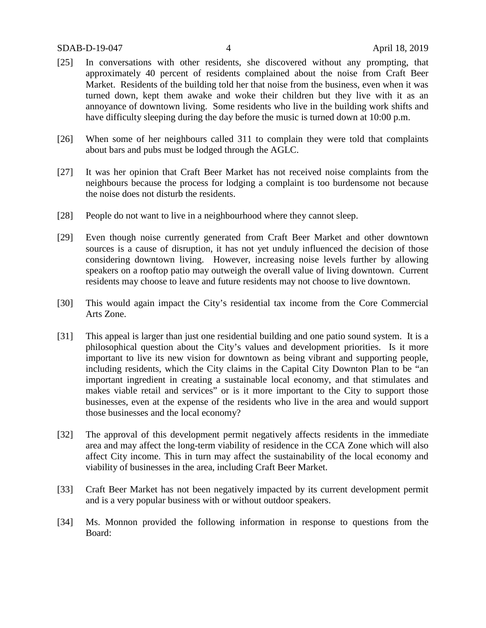## SDAB-D-19-047 4 April 18, 2019

- [25] In conversations with other residents, she discovered without any prompting, that approximately 40 percent of residents complained about the noise from Craft Beer Market. Residents of the building told her that noise from the business, even when it was turned down, kept them awake and woke their children but they live with it as an annoyance of downtown living. Some residents who live in the building work shifts and have difficulty sleeping during the day before the music is turned down at 10:00 p.m.
- [26] When some of her neighbours called 311 to complain they were told that complaints about bars and pubs must be lodged through the AGLC.
- [27] It was her opinion that Craft Beer Market has not received noise complaints from the neighbours because the process for lodging a complaint is too burdensome not because the noise does not disturb the residents.
- [28] People do not want to live in a neighbourhood where they cannot sleep.
- [29] Even though noise currently generated from Craft Beer Market and other downtown sources is a cause of disruption, it has not yet unduly influenced the decision of those considering downtown living. However, increasing noise levels further by allowing speakers on a rooftop patio may outweigh the overall value of living downtown. Current residents may choose to leave and future residents may not choose to live downtown.
- [30] This would again impact the City's residential tax income from the Core Commercial Arts Zone.
- [31] This appeal is larger than just one residential building and one patio sound system. It is a philosophical question about the City's values and development priorities. Is it more important to live its new vision for downtown as being vibrant and supporting people, including residents, which the City claims in the Capital City Downton Plan to be "an important ingredient in creating a sustainable local economy, and that stimulates and makes viable retail and services" or is it more important to the City to support those businesses, even at the expense of the residents who live in the area and would support those businesses and the local economy?
- [32] The approval of this development permit negatively affects residents in the immediate area and may affect the long-term viability of residence in the CCA Zone which will also affect City income. This in turn may affect the sustainability of the local economy and viability of businesses in the area, including Craft Beer Market.
- [33] Craft Beer Market has not been negatively impacted by its current development permit and is a very popular business with or without outdoor speakers.
- [34] Ms. Monnon provided the following information in response to questions from the Board: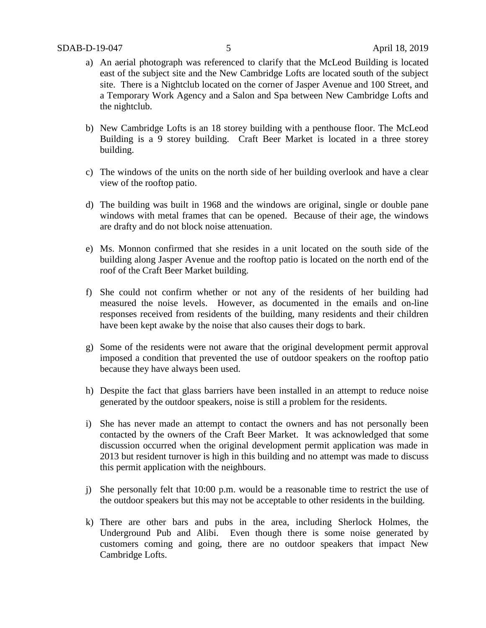- a) An aerial photograph was referenced to clarify that the McLeod Building is located east of the subject site and the New Cambridge Lofts are located south of the subject site. There is a Nightclub located on the corner of Jasper Avenue and 100 Street, and a Temporary Work Agency and a Salon and Spa between New Cambridge Lofts and the nightclub.
- b) New Cambridge Lofts is an 18 storey building with a penthouse floor. The McLeod Building is a 9 storey building. Craft Beer Market is located in a three storey building.
- c) The windows of the units on the north side of her building overlook and have a clear view of the rooftop patio.
- d) The building was built in 1968 and the windows are original, single or double pane windows with metal frames that can be opened. Because of their age, the windows are drafty and do not block noise attenuation.
- e) Ms. Monnon confirmed that she resides in a unit located on the south side of the building along Jasper Avenue and the rooftop patio is located on the north end of the roof of the Craft Beer Market building.
- f) She could not confirm whether or not any of the residents of her building had measured the noise levels. However, as documented in the emails and on-line responses received from residents of the building, many residents and their children have been kept awake by the noise that also causes their dogs to bark.
- g) Some of the residents were not aware that the original development permit approval imposed a condition that prevented the use of outdoor speakers on the rooftop patio because they have always been used.
- h) Despite the fact that glass barriers have been installed in an attempt to reduce noise generated by the outdoor speakers, noise is still a problem for the residents.
- i) She has never made an attempt to contact the owners and has not personally been contacted by the owners of the Craft Beer Market. It was acknowledged that some discussion occurred when the original development permit application was made in 2013 but resident turnover is high in this building and no attempt was made to discuss this permit application with the neighbours.
- j) She personally felt that 10:00 p.m. would be a reasonable time to restrict the use of the outdoor speakers but this may not be acceptable to other residents in the building.
- k) There are other bars and pubs in the area, including Sherlock Holmes, the Underground Pub and Alibi. Even though there is some noise generated by customers coming and going, there are no outdoor speakers that impact New Cambridge Lofts.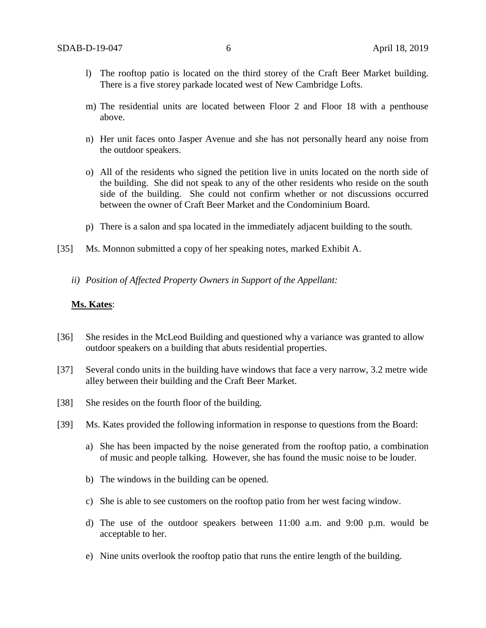- l) The rooftop patio is located on the third storey of the Craft Beer Market building. There is a five storey parkade located west of New Cambridge Lofts.
- m) The residential units are located between Floor 2 and Floor 18 with a penthouse above.
- n) Her unit faces onto Jasper Avenue and she has not personally heard any noise from the outdoor speakers.
- o) All of the residents who signed the petition live in units located on the north side of the building. She did not speak to any of the other residents who reside on the south side of the building. She could not confirm whether or not discussions occurred between the owner of Craft Beer Market and the Condominium Board.
- p) There is a salon and spa located in the immediately adjacent building to the south.
- [35] Ms. Monnon submitted a copy of her speaking notes, marked Exhibit A.
	- *ii) Position of Affected Property Owners in Support of the Appellant:*

#### **Ms. Kates**:

- [36] She resides in the McLeod Building and questioned why a variance was granted to allow outdoor speakers on a building that abuts residential properties.
- [37] Several condo units in the building have windows that face a very narrow, 3.2 metre wide alley between their building and the Craft Beer Market.
- [38] She resides on the fourth floor of the building.
- [39] Ms. Kates provided the following information in response to questions from the Board:
	- a) She has been impacted by the noise generated from the rooftop patio, a combination of music and people talking. However, she has found the music noise to be louder.
	- b) The windows in the building can be opened.
	- c) She is able to see customers on the rooftop patio from her west facing window.
	- d) The use of the outdoor speakers between 11:00 a.m. and 9:00 p.m. would be acceptable to her.
	- e) Nine units overlook the rooftop patio that runs the entire length of the building.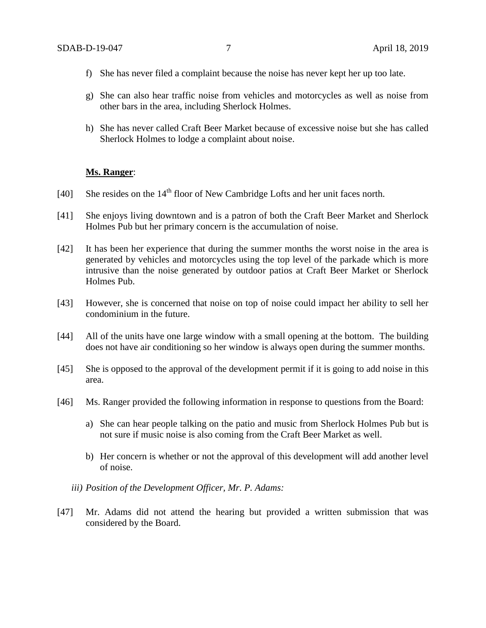- f) She has never filed a complaint because the noise has never kept her up too late.
- g) She can also hear traffic noise from vehicles and motorcycles as well as noise from other bars in the area, including Sherlock Holmes.
- h) She has never called Craft Beer Market because of excessive noise but she has called Sherlock Holmes to lodge a complaint about noise.

# **Ms. Ranger**:

- [40] She resides on the 14<sup>th</sup> floor of New Cambridge Lofts and her unit faces north.
- [41] She enjoys living downtown and is a patron of both the Craft Beer Market and Sherlock Holmes Pub but her primary concern is the accumulation of noise.
- [42] It has been her experience that during the summer months the worst noise in the area is generated by vehicles and motorcycles using the top level of the parkade which is more intrusive than the noise generated by outdoor patios at Craft Beer Market or Sherlock Holmes Pub.
- [43] However, she is concerned that noise on top of noise could impact her ability to sell her condominium in the future.
- [44] All of the units have one large window with a small opening at the bottom. The building does not have air conditioning so her window is always open during the summer months.
- [45] She is opposed to the approval of the development permit if it is going to add noise in this area.
- [46] Ms. Ranger provided the following information in response to questions from the Board:
	- a) She can hear people talking on the patio and music from Sherlock Holmes Pub but is not sure if music noise is also coming from the Craft Beer Market as well.
	- b) Her concern is whether or not the approval of this development will add another level of noise.
	- *iii) Position of the Development Officer, Mr. P. Adams:*
- [47] Mr. Adams did not attend the hearing but provided a written submission that was considered by the Board.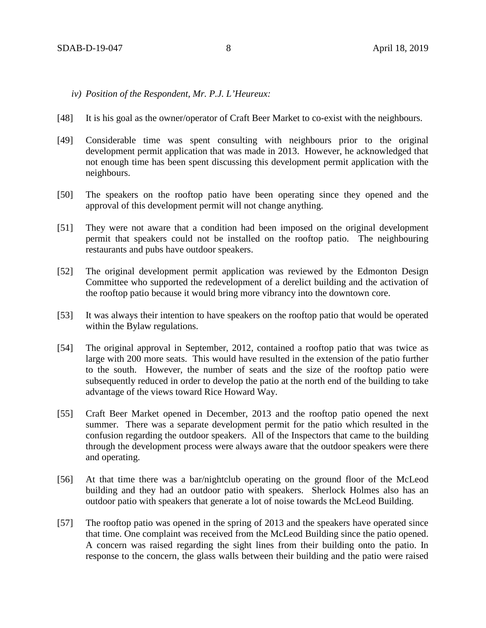- *iv) Position of the Respondent, Mr. P.J. L'Heureux:*
- [48] It is his goal as the owner/operator of Craft Beer Market to co-exist with the neighbours.
- [49] Considerable time was spent consulting with neighbours prior to the original development permit application that was made in 2013. However, he acknowledged that not enough time has been spent discussing this development permit application with the neighbours.
- [50] The speakers on the rooftop patio have been operating since they opened and the approval of this development permit will not change anything.
- [51] They were not aware that a condition had been imposed on the original development permit that speakers could not be installed on the rooftop patio. The neighbouring restaurants and pubs have outdoor speakers.
- [52] The original development permit application was reviewed by the Edmonton Design Committee who supported the redevelopment of a derelict building and the activation of the rooftop patio because it would bring more vibrancy into the downtown core.
- [53] It was always their intention to have speakers on the rooftop patio that would be operated within the Bylaw regulations.
- [54] The original approval in September, 2012, contained a rooftop patio that was twice as large with 200 more seats. This would have resulted in the extension of the patio further to the south. However, the number of seats and the size of the rooftop patio were subsequently reduced in order to develop the patio at the north end of the building to take advantage of the views toward Rice Howard Way.
- [55] Craft Beer Market opened in December, 2013 and the rooftop patio opened the next summer. There was a separate development permit for the patio which resulted in the confusion regarding the outdoor speakers. All of the Inspectors that came to the building through the development process were always aware that the outdoor speakers were there and operating.
- [56] At that time there was a bar/nightclub operating on the ground floor of the McLeod building and they had an outdoor patio with speakers. Sherlock Holmes also has an outdoor patio with speakers that generate a lot of noise towards the McLeod Building.
- [57] The rooftop patio was opened in the spring of 2013 and the speakers have operated since that time. One complaint was received from the McLeod Building since the patio opened. A concern was raised regarding the sight lines from their building onto the patio. In response to the concern, the glass walls between their building and the patio were raised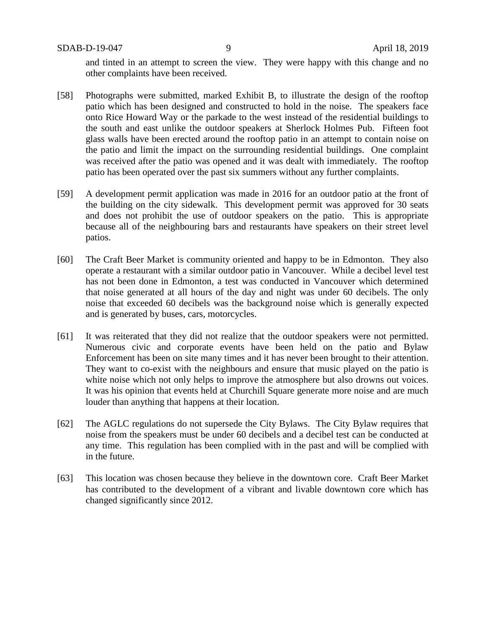SDAB-D-19-047 9 April 18, 2019

and tinted in an attempt to screen the view. They were happy with this change and no other complaints have been received.

- [58] Photographs were submitted, marked Exhibit B, to illustrate the design of the rooftop patio which has been designed and constructed to hold in the noise. The speakers face onto Rice Howard Way or the parkade to the west instead of the residential buildings to the south and east unlike the outdoor speakers at Sherlock Holmes Pub. Fifteen foot glass walls have been erected around the rooftop patio in an attempt to contain noise on the patio and limit the impact on the surrounding residential buildings. One complaint was received after the patio was opened and it was dealt with immediately. The rooftop patio has been operated over the past six summers without any further complaints.
- [59] A development permit application was made in 2016 for an outdoor patio at the front of the building on the city sidewalk. This development permit was approved for 30 seats and does not prohibit the use of outdoor speakers on the patio. This is appropriate because all of the neighbouring bars and restaurants have speakers on their street level patios.
- [60] The Craft Beer Market is community oriented and happy to be in Edmonton. They also operate a restaurant with a similar outdoor patio in Vancouver. While a decibel level test has not been done in Edmonton, a test was conducted in Vancouver which determined that noise generated at all hours of the day and night was under 60 decibels. The only noise that exceeded 60 decibels was the background noise which is generally expected and is generated by buses, cars, motorcycles.
- [61] It was reiterated that they did not realize that the outdoor speakers were not permitted. Numerous civic and corporate events have been held on the patio and Bylaw Enforcement has been on site many times and it has never been brought to their attention. They want to co-exist with the neighbours and ensure that music played on the patio is white noise which not only helps to improve the atmosphere but also drowns out voices. It was his opinion that events held at Churchill Square generate more noise and are much louder than anything that happens at their location.
- [62] The AGLC regulations do not supersede the City Bylaws. The City Bylaw requires that noise from the speakers must be under 60 decibels and a decibel test can be conducted at any time. This regulation has been complied with in the past and will be complied with in the future.
- [63] This location was chosen because they believe in the downtown core. Craft Beer Market has contributed to the development of a vibrant and livable downtown core which has changed significantly since 2012.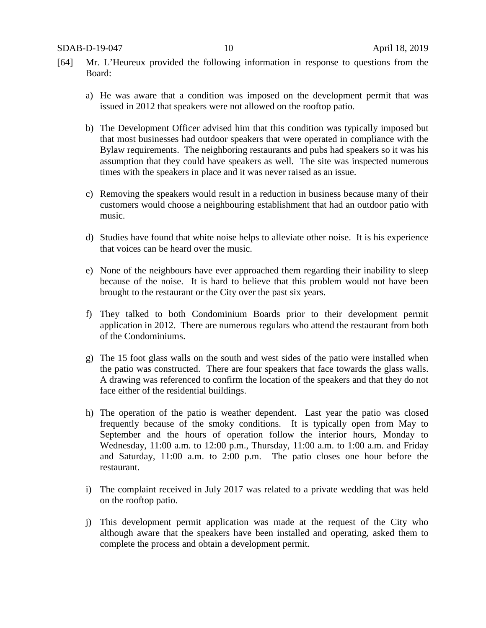- [64] Mr. L'Heureux provided the following information in response to questions from the Board:
	- a) He was aware that a condition was imposed on the development permit that was issued in 2012 that speakers were not allowed on the rooftop patio.
	- b) The Development Officer advised him that this condition was typically imposed but that most businesses had outdoor speakers that were operated in compliance with the Bylaw requirements. The neighboring restaurants and pubs had speakers so it was his assumption that they could have speakers as well. The site was inspected numerous times with the speakers in place and it was never raised as an issue.
	- c) Removing the speakers would result in a reduction in business because many of their customers would choose a neighbouring establishment that had an outdoor patio with music.
	- d) Studies have found that white noise helps to alleviate other noise. It is his experience that voices can be heard over the music.
	- e) None of the neighbours have ever approached them regarding their inability to sleep because of the noise. It is hard to believe that this problem would not have been brought to the restaurant or the City over the past six years.
	- f) They talked to both Condominium Boards prior to their development permit application in 2012. There are numerous regulars who attend the restaurant from both of the Condominiums.
	- g) The 15 foot glass walls on the south and west sides of the patio were installed when the patio was constructed. There are four speakers that face towards the glass walls. A drawing was referenced to confirm the location of the speakers and that they do not face either of the residential buildings.
	- h) The operation of the patio is weather dependent. Last year the patio was closed frequently because of the smoky conditions. It is typically open from May to September and the hours of operation follow the interior hours, Monday to Wednesday, 11:00 a.m. to 12:00 p.m., Thursday, 11:00 a.m. to 1:00 a.m. and Friday and Saturday, 11:00 a.m. to 2:00 p.m. The patio closes one hour before the restaurant.
	- i) The complaint received in July 2017 was related to a private wedding that was held on the rooftop patio.
	- j) This development permit application was made at the request of the City who although aware that the speakers have been installed and operating, asked them to complete the process and obtain a development permit.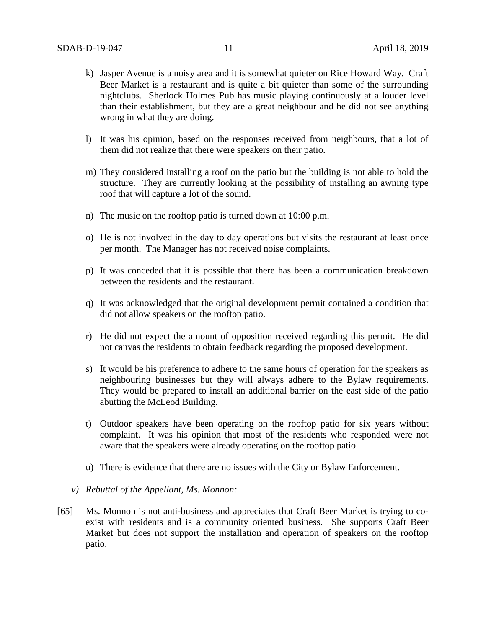- k) Jasper Avenue is a noisy area and it is somewhat quieter on Rice Howard Way. Craft Beer Market is a restaurant and is quite a bit quieter than some of the surrounding nightclubs. Sherlock Holmes Pub has music playing continuously at a louder level than their establishment, but they are a great neighbour and he did not see anything wrong in what they are doing.
- l) It was his opinion, based on the responses received from neighbours, that a lot of them did not realize that there were speakers on their patio.
- m) They considered installing a roof on the patio but the building is not able to hold the structure. They are currently looking at the possibility of installing an awning type roof that will capture a lot of the sound.
- n) The music on the rooftop patio is turned down at 10:00 p.m.
- o) He is not involved in the day to day operations but visits the restaurant at least once per month. The Manager has not received noise complaints.
- p) It was conceded that it is possible that there has been a communication breakdown between the residents and the restaurant.
- q) It was acknowledged that the original development permit contained a condition that did not allow speakers on the rooftop patio.
- r) He did not expect the amount of opposition received regarding this permit. He did not canvas the residents to obtain feedback regarding the proposed development.
- s) It would be his preference to adhere to the same hours of operation for the speakers as neighbouring businesses but they will always adhere to the Bylaw requirements. They would be prepared to install an additional barrier on the east side of the patio abutting the McLeod Building.
- t) Outdoor speakers have been operating on the rooftop patio for six years without complaint. It was his opinion that most of the residents who responded were not aware that the speakers were already operating on the rooftop patio.
- u) There is evidence that there are no issues with the City or Bylaw Enforcement.
- *v) Rebuttal of the Appellant, Ms. Monnon:*
- [65] Ms. Monnon is not anti-business and appreciates that Craft Beer Market is trying to coexist with residents and is a community oriented business. She supports Craft Beer Market but does not support the installation and operation of speakers on the rooftop patio.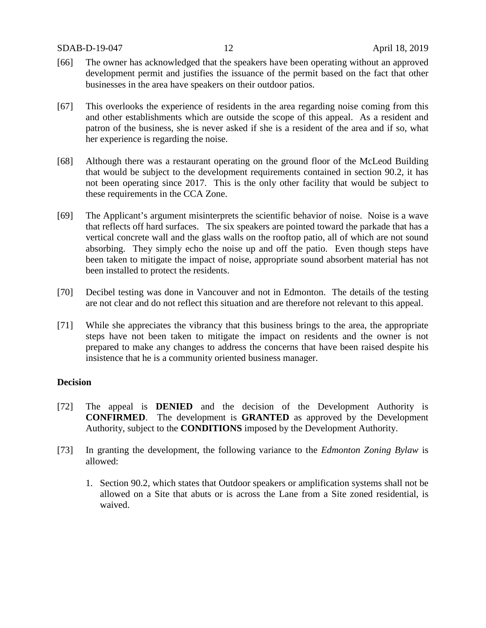- [66] The owner has acknowledged that the speakers have been operating without an approved development permit and justifies the issuance of the permit based on the fact that other businesses in the area have speakers on their outdoor patios.
- [67] This overlooks the experience of residents in the area regarding noise coming from this and other establishments which are outside the scope of this appeal. As a resident and patron of the business, she is never asked if she is a resident of the area and if so, what her experience is regarding the noise.
- [68] Although there was a restaurant operating on the ground floor of the McLeod Building that would be subject to the development requirements contained in section 90.2, it has not been operating since 2017. This is the only other facility that would be subject to these requirements in the CCA Zone.
- [69] The Applicant's argument misinterprets the scientific behavior of noise. Noise is a wave that reflects off hard surfaces. The six speakers are pointed toward the parkade that has a vertical concrete wall and the glass walls on the rooftop patio, all of which are not sound absorbing. They simply echo the noise up and off the patio. Even though steps have been taken to mitigate the impact of noise, appropriate sound absorbent material has not been installed to protect the residents.
- [70] Decibel testing was done in Vancouver and not in Edmonton. The details of the testing are not clear and do not reflect this situation and are therefore not relevant to this appeal.
- [71] While she appreciates the vibrancy that this business brings to the area, the appropriate steps have not been taken to mitigate the impact on residents and the owner is not prepared to make any changes to address the concerns that have been raised despite his insistence that he is a community oriented business manager.

## **Decision**

- [72] The appeal is **DENIED** and the decision of the Development Authority is **CONFIRMED**. The development is **GRANTED** as approved by the Development Authority, subject to the **CONDITIONS** imposed by the Development Authority.
- [73] In granting the development, the following variance to the *Edmonton Zoning Bylaw* is allowed:
	- 1. Section 90.2, which states that Outdoor speakers or amplification systems shall not be allowed on a Site that abuts or is across the Lane from a Site zoned residential, is waived.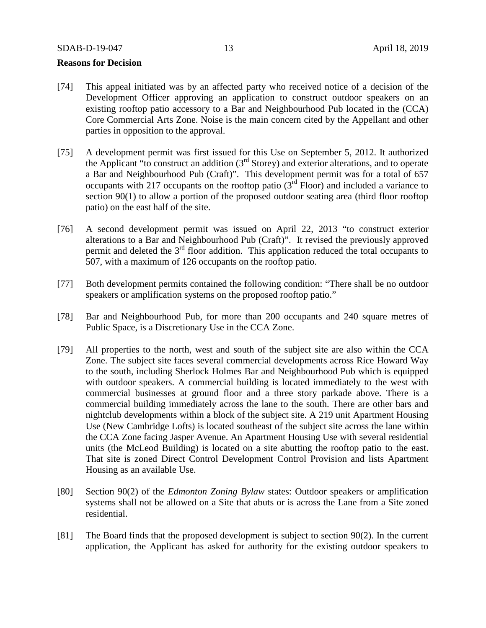# **Reasons for Decision**

- [74] This appeal initiated was by an affected party who received notice of a decision of the Development Officer approving an application to construct outdoor speakers on an existing rooftop patio accessory to a Bar and Neighbourhood Pub located in the (CCA) Core Commercial Arts Zone. Noise is the main concern cited by the Appellant and other parties in opposition to the approval.
- [75] A development permit was first issued for this Use on September 5, 2012. It authorized the Applicant "to construct an addition  $(3<sup>rd</sup>$  Storey) and exterior alterations, and to operate a Bar and Neighbourhood Pub (Craft)". This development permit was for a total of 657 occupants with 217 occupants on the rooftop patio  $\overline{3}^{\text{rd}}$  Floor) and included a variance to section 90(1) to allow a portion of the proposed outdoor seating area (third floor rooftop patio) on the east half of the site.
- [76] A second development permit was issued on April 22, 2013 "to construct exterior alterations to a Bar and Neighbourhood Pub (Craft)". It revised the previously approved permit and deleted the  $3<sup>rd</sup>$  floor addition. This application reduced the total occupants to 507, with a maximum of 126 occupants on the rooftop patio.
- [77] Both development permits contained the following condition: "There shall be no outdoor speakers or amplification systems on the proposed rooftop patio."
- [78] Bar and Neighbourhood Pub, for more than 200 occupants and 240 square metres of Public Space, is a Discretionary Use in the CCA Zone.
- [79] All properties to the north, west and south of the subject site are also within the CCA Zone. The subject site faces several commercial developments across Rice Howard Way to the south, including Sherlock Holmes Bar and Neighbourhood Pub which is equipped with outdoor speakers. A commercial building is located immediately to the west with commercial businesses at ground floor and a three story parkade above. There is a commercial building immediately across the lane to the south. There are other bars and nightclub developments within a block of the subject site. A 219 unit Apartment Housing Use (New Cambridge Lofts) is located southeast of the subject site across the lane within the CCA Zone facing Jasper Avenue. An Apartment Housing Use with several residential units (the McLeod Building) is located on a site abutting the rooftop patio to the east. That site is zoned Direct Control Development Control Provision and lists Apartment Housing as an available Use.
- [80] Section 90(2) of the *Edmonton Zoning Bylaw* states: Outdoor speakers or amplification systems shall not be allowed on a Site that abuts or is across the Lane from a Site zoned residential.
- [81] The Board finds that the proposed development is subject to section 90(2). In the current application, the Applicant has asked for authority for the existing outdoor speakers to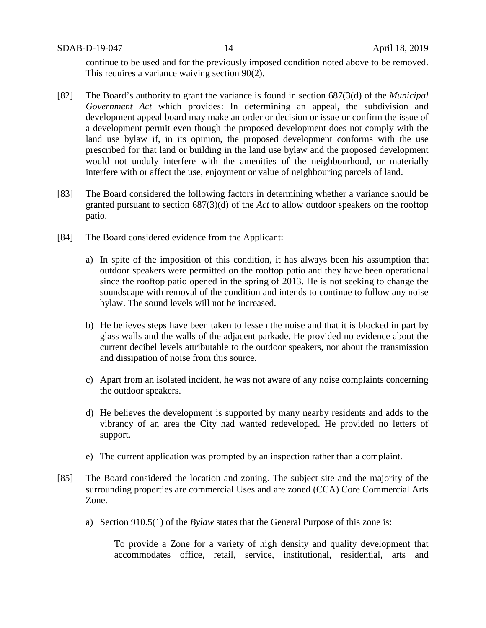continue to be used and for the previously imposed condition noted above to be removed. This requires a variance waiving section 90(2).

- [82] The Board's authority to grant the variance is found in section 687(3(d) of the *Municipal Government Act* which provides: In determining an appeal, the subdivision and development appeal board may make an order or decision or issue or confirm the issue of a development permit even though the proposed development does not comply with the land use bylaw if, in its opinion, the proposed development conforms with the use prescribed for that land or building in the land use bylaw and the proposed development would not unduly interfere with the amenities of the neighbourhood, or materially interfere with or affect the use, enjoyment or value of neighbouring parcels of land.
- [83] The Board considered the following factors in determining whether a variance should be granted pursuant to section 687(3)(d) of the *Act* to allow outdoor speakers on the rooftop patio.
- [84] The Board considered evidence from the Applicant:
	- a) In spite of the imposition of this condition, it has always been his assumption that outdoor speakers were permitted on the rooftop patio and they have been operational since the rooftop patio opened in the spring of 2013. He is not seeking to change the soundscape with removal of the condition and intends to continue to follow any noise bylaw. The sound levels will not be increased.
	- b) He believes steps have been taken to lessen the noise and that it is blocked in part by glass walls and the walls of the adjacent parkade. He provided no evidence about the current decibel levels attributable to the outdoor speakers, nor about the transmission and dissipation of noise from this source.
	- c) Apart from an isolated incident, he was not aware of any noise complaints concerning the outdoor speakers.
	- d) He believes the development is supported by many nearby residents and adds to the vibrancy of an area the City had wanted redeveloped. He provided no letters of support.
	- e) The current application was prompted by an inspection rather than a complaint.
- [85] The Board considered the location and zoning. The subject site and the majority of the surrounding properties are commercial Uses and are zoned (CCA) Core Commercial Arts Zone.
	- a) Section 910.5(1) of the *Bylaw* states that the General Purpose of this zone is:

To provide a Zone for a variety of high density and quality development that accommodates office, retail, service, institutional, residential, arts and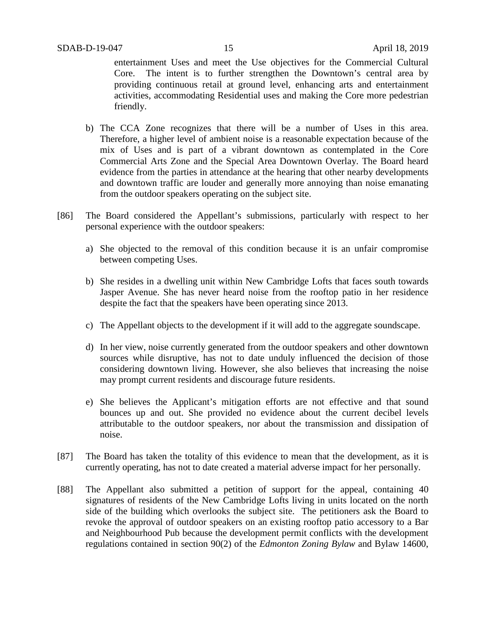entertainment Uses and meet the Use objectives for the Commercial Cultural Core. The intent is to further strengthen the Downtown's central area by providing continuous retail at ground level, enhancing arts and entertainment activities, accommodating Residential uses and making the Core more pedestrian friendly.

- b) The CCA Zone recognizes that there will be a number of Uses in this area. Therefore, a higher level of ambient noise is a reasonable expectation because of the mix of Uses and is part of a vibrant downtown as contemplated in the Core Commercial Arts Zone and the Special Area Downtown Overlay. The Board heard evidence from the parties in attendance at the hearing that other nearby developments and downtown traffic are louder and generally more annoying than noise emanating from the outdoor speakers operating on the subject site.
- [86] The Board considered the Appellant's submissions, particularly with respect to her personal experience with the outdoor speakers:
	- a) She objected to the removal of this condition because it is an unfair compromise between competing Uses.
	- b) She resides in a dwelling unit within New Cambridge Lofts that faces south towards Jasper Avenue. She has never heard noise from the rooftop patio in her residence despite the fact that the speakers have been operating since 2013.
	- c) The Appellant objects to the development if it will add to the aggregate soundscape.
	- d) In her view, noise currently generated from the outdoor speakers and other downtown sources while disruptive, has not to date unduly influenced the decision of those considering downtown living. However, she also believes that increasing the noise may prompt current residents and discourage future residents.
	- e) She believes the Applicant's mitigation efforts are not effective and that sound bounces up and out. She provided no evidence about the current decibel levels attributable to the outdoor speakers, nor about the transmission and dissipation of noise.
- [87] The Board has taken the totality of this evidence to mean that the development, as it is currently operating, has not to date created a material adverse impact for her personally.
- [88] The Appellant also submitted a petition of support for the appeal, containing 40 signatures of residents of the New Cambridge Lofts living in units located on the north side of the building which overlooks the subject site. The petitioners ask the Board to revoke the approval of outdoor speakers on an existing rooftop patio accessory to a Bar and Neighbourhood Pub because the development permit conflicts with the development regulations contained in section 90(2) of the *Edmonton Zoning Bylaw* and Bylaw 14600,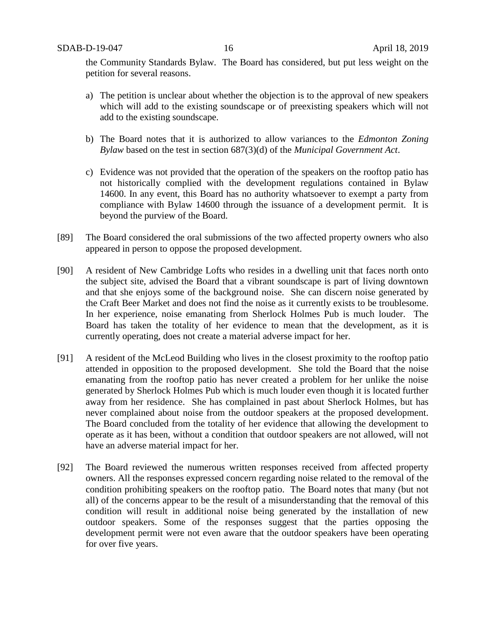the Community Standards Bylaw. The Board has considered, but put less weight on the petition for several reasons.

- a) The petition is unclear about whether the objection is to the approval of new speakers which will add to the existing soundscape or of preexisting speakers which will not add to the existing soundscape.
- b) The Board notes that it is authorized to allow variances to the *Edmonton Zoning Bylaw* based on the test in section 687(3)(d) of the *Municipal Government Act*.
- c) Evidence was not provided that the operation of the speakers on the rooftop patio has not historically complied with the development regulations contained in Bylaw 14600. In any event, this Board has no authority whatsoever to exempt a party from compliance with Bylaw 14600 through the issuance of a development permit. It is beyond the purview of the Board.
- [89] The Board considered the oral submissions of the two affected property owners who also appeared in person to oppose the proposed development.
- [90] A resident of New Cambridge Lofts who resides in a dwelling unit that faces north onto the subject site, advised the Board that a vibrant soundscape is part of living downtown and that she enjoys some of the background noise. She can discern noise generated by the Craft Beer Market and does not find the noise as it currently exists to be troublesome. In her experience, noise emanating from Sherlock Holmes Pub is much louder. The Board has taken the totality of her evidence to mean that the development, as it is currently operating, does not create a material adverse impact for her.
- [91] A resident of the McLeod Building who lives in the closest proximity to the rooftop patio attended in opposition to the proposed development. She told the Board that the noise emanating from the rooftop patio has never created a problem for her unlike the noise generated by Sherlock Holmes Pub which is much louder even though it is located further away from her residence. She has complained in past about Sherlock Holmes, but has never complained about noise from the outdoor speakers at the proposed development. The Board concluded from the totality of her evidence that allowing the development to operate as it has been, without a condition that outdoor speakers are not allowed, will not have an adverse material impact for her.
- [92] The Board reviewed the numerous written responses received from affected property owners. All the responses expressed concern regarding noise related to the removal of the condition prohibiting speakers on the rooftop patio. The Board notes that many (but not all) of the concerns appear to be the result of a misunderstanding that the removal of this condition will result in additional noise being generated by the installation of new outdoor speakers. Some of the responses suggest that the parties opposing the development permit were not even aware that the outdoor speakers have been operating for over five years.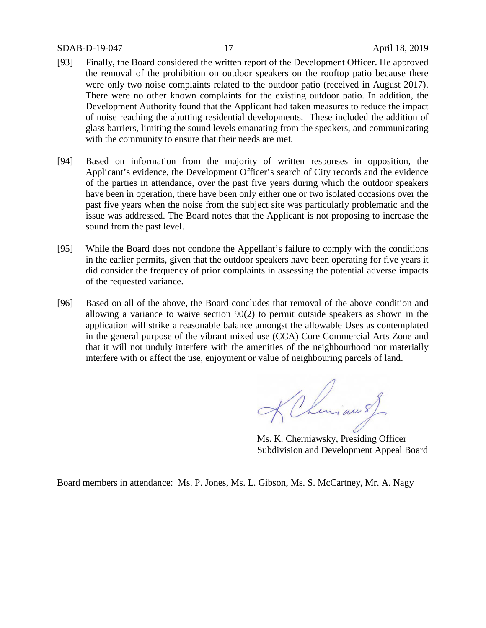#### SDAB-D-19-047 17 April 18, 2019

- [93] Finally, the Board considered the written report of the Development Officer. He approved the removal of the prohibition on outdoor speakers on the rooftop patio because there were only two noise complaints related to the outdoor patio (received in August 2017). There were no other known complaints for the existing outdoor patio. In addition, the Development Authority found that the Applicant had taken measures to reduce the impact of noise reaching the abutting residential developments. These included the addition of glass barriers, limiting the sound levels emanating from the speakers, and communicating with the community to ensure that their needs are met.
- [94] Based on information from the majority of written responses in opposition, the Applicant's evidence, the Development Officer's search of City records and the evidence of the parties in attendance, over the past five years during which the outdoor speakers have been in operation, there have been only either one or two isolated occasions over the past five years when the noise from the subject site was particularly problematic and the issue was addressed. The Board notes that the Applicant is not proposing to increase the sound from the past level.
- [95] While the Board does not condone the Appellant's failure to comply with the conditions in the earlier permits, given that the outdoor speakers have been operating for five years it did consider the frequency of prior complaints in assessing the potential adverse impacts of the requested variance.
- [96] Based on all of the above, the Board concludes that removal of the above condition and allowing a variance to waive section 90(2) to permit outside speakers as shown in the application will strike a reasonable balance amongst the allowable Uses as contemplated in the general purpose of the vibrant mixed use (CCA) Core Commercial Arts Zone and that it will not unduly interfere with the amenities of the neighbourhood nor materially interfere with or affect the use, enjoyment or value of neighbouring parcels of land.

K Chemian of

Ms. K. Cherniawsky, Presiding Officer Subdivision and Development Appeal Board

Board members in attendance: Ms. P. Jones, Ms. L. Gibson, Ms. S. McCartney, Mr. A. Nagy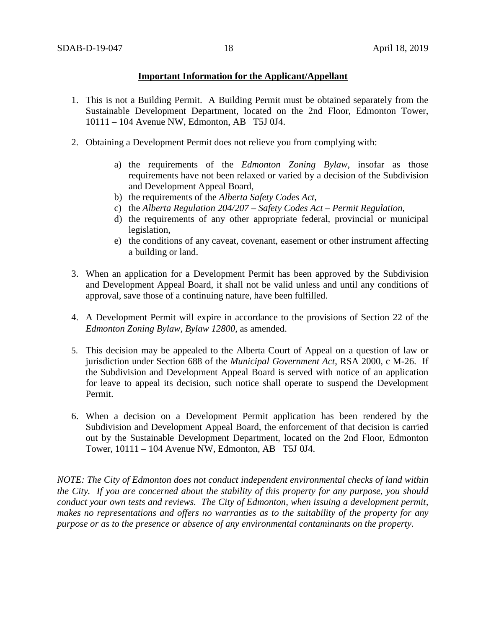# **Important Information for the Applicant/Appellant**

- 1. This is not a Building Permit. A Building Permit must be obtained separately from the Sustainable Development Department, located on the 2nd Floor, Edmonton Tower, 10111 – 104 Avenue NW, Edmonton, AB T5J 0J4.
- 2. Obtaining a Development Permit does not relieve you from complying with:
	- a) the requirements of the *Edmonton Zoning Bylaw*, insofar as those requirements have not been relaxed or varied by a decision of the Subdivision and Development Appeal Board,
	- b) the requirements of the *Alberta Safety Codes Act*,
	- c) the *Alberta Regulation 204/207 – Safety Codes Act – Permit Regulation*,
	- d) the requirements of any other appropriate federal, provincial or municipal legislation,
	- e) the conditions of any caveat, covenant, easement or other instrument affecting a building or land.
- 3. When an application for a Development Permit has been approved by the Subdivision and Development Appeal Board, it shall not be valid unless and until any conditions of approval, save those of a continuing nature, have been fulfilled.
- 4. A Development Permit will expire in accordance to the provisions of Section 22 of the *Edmonton Zoning Bylaw, Bylaw 12800*, as amended.
- 5. This decision may be appealed to the Alberta Court of Appeal on a question of law or jurisdiction under Section 688 of the *Municipal Government Act*, RSA 2000, c M-26. If the Subdivision and Development Appeal Board is served with notice of an application for leave to appeal its decision, such notice shall operate to suspend the Development Permit.
- 6. When a decision on a Development Permit application has been rendered by the Subdivision and Development Appeal Board, the enforcement of that decision is carried out by the Sustainable Development Department, located on the 2nd Floor, Edmonton Tower, 10111 – 104 Avenue NW, Edmonton, AB T5J 0J4.

*NOTE: The City of Edmonton does not conduct independent environmental checks of land within the City. If you are concerned about the stability of this property for any purpose, you should conduct your own tests and reviews. The City of Edmonton, when issuing a development permit, makes no representations and offers no warranties as to the suitability of the property for any purpose or as to the presence or absence of any environmental contaminants on the property.*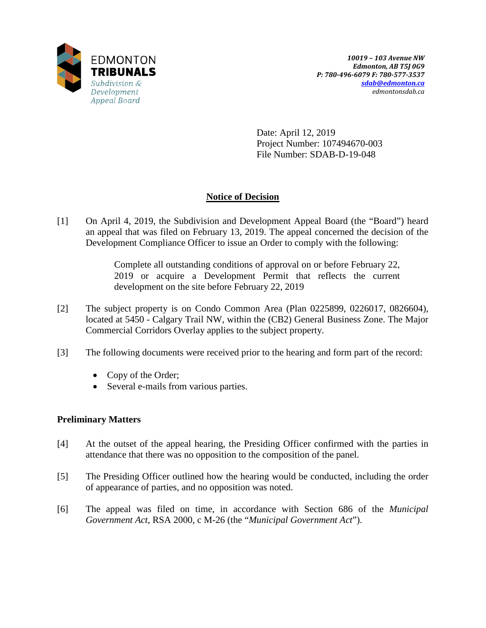

Date: April 12, 2019 Project Number: 107494670-003 File Number: SDAB-D-19-048

# **Notice of Decision**

[1] On April 4, 2019, the Subdivision and Development Appeal Board (the "Board") heard an appeal that was filed on February 13, 2019. The appeal concerned the decision of the Development Compliance Officer to issue an Order to comply with the following:

> Complete all outstanding conditions of approval on or before February 22, 2019 or acquire a Development Permit that reflects the current development on the site before February 22, 2019

- [2] The subject property is on Condo Common Area (Plan 0225899, 0226017, 0826604), located at 5450 - Calgary Trail NW, within the (CB2) General Business Zone. The Major Commercial Corridors Overlay applies to the subject property.
- [3] The following documents were received prior to the hearing and form part of the record:
	- Copy of the Order;
	- Several e-mails from various parties.

# **Preliminary Matters**

- [4] At the outset of the appeal hearing, the Presiding Officer confirmed with the parties in attendance that there was no opposition to the composition of the panel.
- [5] The Presiding Officer outlined how the hearing would be conducted, including the order of appearance of parties, and no opposition was noted.
- [6] The appeal was filed on time, in accordance with Section 686 of the *Municipal Government Act*, RSA 2000, c M-26 (the "*Municipal Government Act*").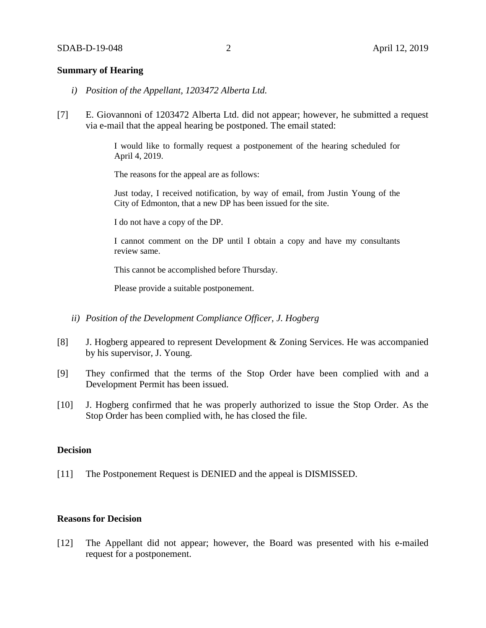# **Summary of Hearing**

- *i) Position of the Appellant, 1203472 Alberta Ltd.*
- [7] E. Giovannoni of 1203472 Alberta Ltd. did not appear; however, he submitted a request via e-mail that the appeal hearing be postponed. The email stated:

I would like to formally request a postponement of the hearing scheduled for April 4, 2019.

The reasons for the appeal are as follows:

Just today, I received notification, by way of email, from Justin Young of the City of Edmonton, that a new DP has been issued for the site.

I do not have a copy of the DP.

I cannot comment on the DP until I obtain a copy and have my consultants review same.

This cannot be accomplished before Thursday.

Please provide a suitable postponement.

- *ii) Position of the Development Compliance Officer, J. Hogberg*
- [8] J. Hogberg appeared to represent Development & Zoning Services. He was accompanied by his supervisor, J. Young.
- [9] They confirmed that the terms of the Stop Order have been complied with and a Development Permit has been issued.
- [10] J. Hogberg confirmed that he was properly authorized to issue the Stop Order. As the Stop Order has been complied with, he has closed the file.

# **Decision**

[11] The Postponement Request is DENIED and the appeal is DISMISSED.

## **Reasons for Decision**

[12] The Appellant did not appear; however, the Board was presented with his e-mailed request for a postponement.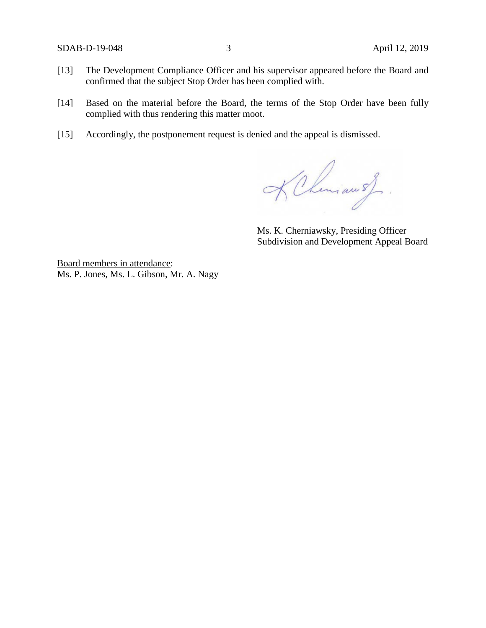- [13] The Development Compliance Officer and his supervisor appeared before the Board and confirmed that the subject Stop Order has been complied with.
- [14] Based on the material before the Board, the terms of the Stop Order have been fully complied with thus rendering this matter moot.
- [15] Accordingly, the postponement request is denied and the appeal is dismissed.

KCheman s)

Ms. K. Cherniawsky, Presiding Officer Subdivision and Development Appeal Board

Board members in attendance: Ms. P. Jones, Ms. L. Gibson, Mr. A. Nagy